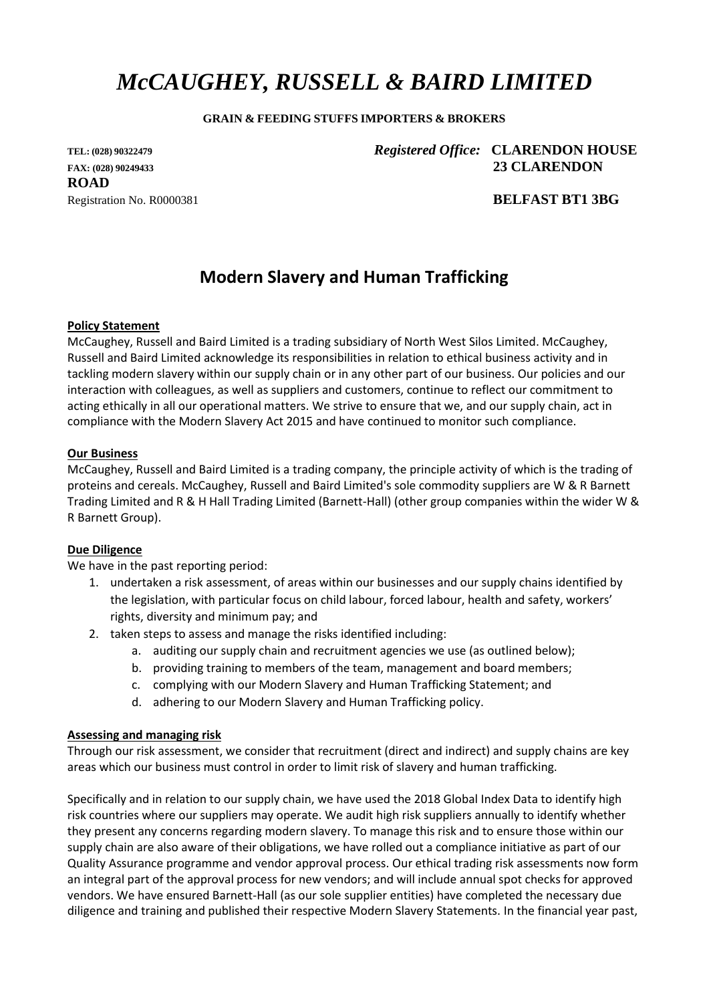# *McCAUGHEY, RUSSELL & BAIRD LIMITED*

#### **GRAIN & FEEDING STUFFS IMPORTERS & BROKERS**

**ROAD** Registration No. R0000381 **BELFAST BT1 3BG**

**TEL: (028) <sup>90322479</sup>** *Registered Office:* **CLARENDON HOUSE FAX: (028) 90249433 23 CLARENDON** 

# **Modern Slavery and Human Trafficking**

#### **Policy Statement**

McCaughey, Russell and Baird Limited is a trading subsidiary of North West Silos Limited. McCaughey, Russell and Baird Limited acknowledge its responsibilities in relation to ethical business activity and in tackling modern slavery within our supply chain or in any other part of our business. Our policies and our interaction with colleagues, as well as suppliers and customers, continue to reflect our commitment to acting ethically in all our operational matters. We strive to ensure that we, and our supply chain, act in compliance with the Modern Slavery Act 2015 and have continued to monitor such compliance.

#### **Our Business**

McCaughey, Russell and Baird Limited is a trading company, the principle activity of which is the trading of proteins and cereals. McCaughey, Russell and Baird Limited's sole commodity suppliers are W & R Barnett Trading Limited and R & H Hall Trading Limited (Barnett-Hall) (other group companies within the wider W & R Barnett Group).

#### **Due Diligence**

We have in the past reporting period:

- 1. undertaken a risk assessment, of areas within our businesses and our supply chains identified by the legislation, with particular focus on child labour, forced labour, health and safety, workers' rights, diversity and minimum pay; and
- 2. taken steps to assess and manage the risks identified including:
	- a. auditing our supply chain and recruitment agencies we use (as outlined below);
	- b. providing training to members of the team, management and board members;
	- c. complying with our Modern Slavery and Human Trafficking Statement; and
	- d. adhering to our Modern Slavery and Human Trafficking policy.

#### **Assessing and managing risk**

Through our risk assessment, we consider that recruitment (direct and indirect) and supply chains are key areas which our business must control in order to limit risk of slavery and human trafficking.

Specifically and in relation to our supply chain, we have used the 2018 Global Index Data to identify high risk countries where our suppliers may operate. We audit high risk suppliers annually to identify whether they present any concerns regarding modern slavery. To manage this risk and to ensure those within our supply chain are also aware of their obligations, we have rolled out a compliance initiative as part of our Quality Assurance programme and vendor approval process. Our ethical trading risk assessments now form an integral part of the approval process for new vendors; and will include annual spot checks for approved vendors. We have ensured Barnett-Hall (as our sole supplier entities) have completed the necessary due diligence and training and published their respective Modern Slavery Statements. In the financial year past,